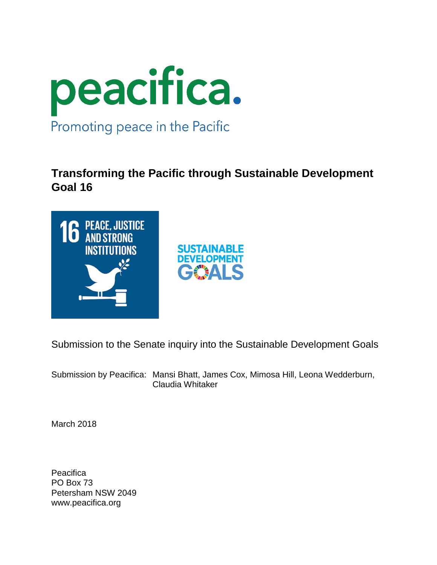

# **Transforming the Pacific through Sustainable Development Goal 16**



Submission to the Senate inquiry into the Sustainable Development Goals

Submission by Peacifica: Mansi Bhatt, James Cox, Mimosa Hill, Leona Wedderburn, Claudia Whitaker

March 2018

**Peacifica** PO Box 73 Petersham NSW 2049 www.peacifica.org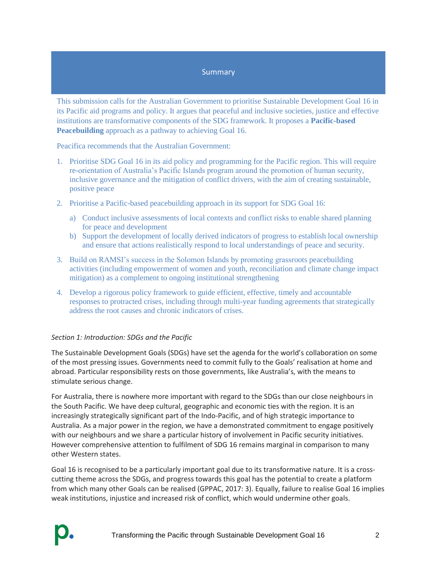#### **Summary**

This submission calls for the Australian Government to prioritise Sustainable Development Goal 16 in its Pacific aid programs and policy. It argues that peaceful and inclusive societies, justice and effective institutions are transformative components of the SDG framework. It proposes a **Pacific-based Peacebuilding** approach as a pathway to achieving Goal 16.

Peacifica recommends that the Australian Government:

- 1. Prioritise SDG Goal 16 in its aid policy and programming for the Pacific region. This will require re-orientation of Australia's Pacific Islands program around the promotion of human security, inclusive governance and the mitigation of conflict drivers, with the aim of creating sustainable, positive peace
- 2. Prioritise a Pacific-based peacebuilding approach in its support for SDG Goal 16:
	- a) Conduct inclusive assessments of local contexts and conflict risks to enable shared planning for peace and development
	- b) Support the development of locally derived indicators of progress to establish local ownership and ensure that actions realistically respond to local understandings of peace and security.
- 3. Build on RAMSI's success in the Solomon Islands by promoting grassroots peacebuilding activities (including empowerment of women and youth, reconciliation and climate change impact mitigation) as a complement to ongoing institutional strengthening
- 4. Develop a rigorous policy framework to guide efficient, effective, timely and accountable responses to protracted crises, including through multi-year funding agreements that strategically address the root causes and chronic indicators of crises.

# *Section 1: Introduction: SDGs and the Pacific*

The Sustainable Development Goals (SDGs) have set the agenda for the world's collaboration on some of the most pressing issues. Governments need to commit fully to the Goals' realisation at home and abroad. Particular responsibility rests on those governments, like Australia's, with the means to stimulate serious change.

For Australia, there is nowhere more important with regard to the SDGs than our close neighbours in the South Pacific. We have deep cultural, geographic and economic ties with the region. It is an increasingly strategically significant part of the Indo-Pacific, and of high strategic importance to Australia. As a major power in the region, we have a demonstrated commitment to engage positively with our neighbours and we share a particular history of involvement in Pacific security initiatives. However comprehensive attention to fulfilment of SDG 16 remains marginal in comparison to many other Western states.

Goal 16 is recognised to be a particularly important goal due to its transformative nature. It is a crosscutting theme across the SDGs, and progress towards this goal has the potential to create a platform from which many other Goals can be realised (GPPAC, 2017: 3). Equally, failure to realise Goal 16 implies weak institutions, injustice and increased risk of conflict, which would undermine other goals.

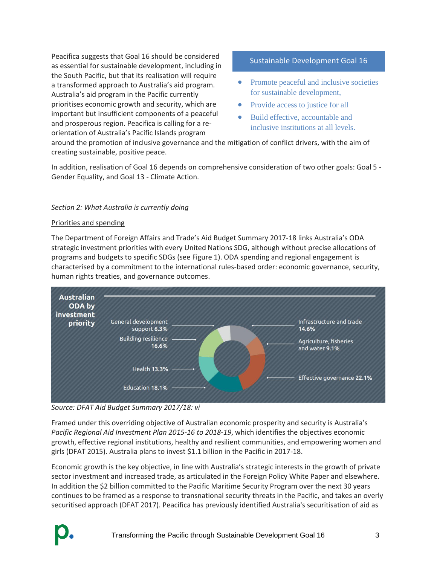Peacifica suggests that Goal 16 should be considered as essential for sustainable development, including in the South Pacific, but that its realisation will require a transformed approach to Australia's aid program. Australia's aid program in the Pacific currently prioritises economic growth and security, which are important but insufficient components of a peaceful and prosperous region. Peacifica is calling for a reorientation of Australia's Pacific Islands program

# Sustainable Development Goal 16

- Promote peaceful and inclusive societies for sustainable development,
- Provide access to justice for all
- Build effective, accountable and inclusive institutions at all levels.

around the promotion of inclusive governance and the mitigation of conflict drivers, with the aim of creating sustainable, positive peace.

In addition, realisation of Goal 16 depends on comprehensive consideration of two other goals: Goal 5 - Gender Equality, and Goal 13 - Climate Action.

#### *Section 2: What Australia is currently doing*

#### Priorities and spending

The Department of Foreign Affairs and Trade's Aid Budget Summary 2017-18 links Australia's ODA strategic investment priorities with every United Nations SDG, although without precise allocations of programs and budgets to specific SDGs (see Figure 1). ODA spending and regional engagement is characterised by a commitment to the international rules-based order: economic governance, security, human rights treaties, and governance outcomes.



*Source: DFAT Aid Budget Summary 2017/18: vi*

Framed under this overriding objective of Australian economic prosperity and security is Australia's *Pacific Regional Aid Investment Plan 2015-16 to 2018-19*, which identifies the objectives economic growth, effective regional institutions, healthy and resilient communities, and empowering women and girls (DFAT 2015). Australia plans to invest \$1.1 billion in the Pacific in 2017-18.

Economic growth is the key objective, in line with Australia's strategic interests in the growth of private sector investment and increased trade, as articulated in the Foreign Policy White Paper and elsewhere. In addition the \$2 billion committed to the Pacific Maritime Security Program over the next 30 years continues to be framed as a response to transnational security threats in the Pacific, and takes an overly securitised approach (DFAT 2017). Peacifica has previously identified Australia's securitisation of aid as

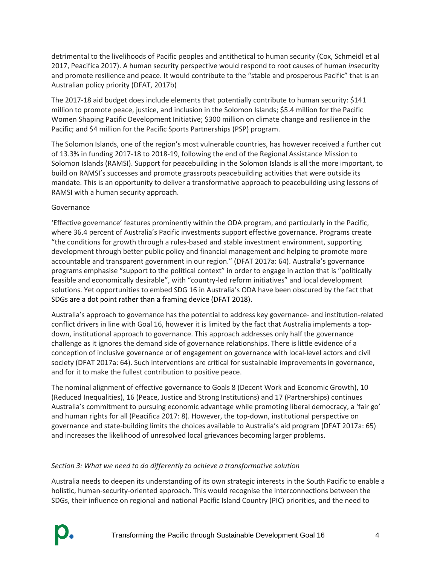detrimental to the livelihoods of Pacific peoples and antithetical to human security (Cox, Schmeidl et al 2017, Peacifica 2017). A human security perspective would respond to root causes of human *in*security and promote resilience and peace. It would contribute to the "stable and prosperous Pacific" that is an Australian policy priority (DFAT, 2017b)

The 2017-18 aid budget does include elements that potentially contribute to human security: \$141 million to promote peace, justice, and inclusion in the Solomon Islands; \$5.4 million for the Pacific Women Shaping Pacific Development Initiative; \$300 million on climate change and resilience in the Pacific; and \$4 million for the Pacific Sports Partnerships (PSP) program.

The Solomon Islands, one of the region's most vulnerable countries, has however received a further cut of 13.3% in funding 2017-18 to 2018-19, following the end of the Regional Assistance Mission to Solomon Islands (RAMSI). Support for peacebuilding in the Solomon Islands is all the more important, to build on RAMSI's successes and promote grassroots peacebuilding activities that were outside its mandate. This is an opportunity to deliver a transformative approach to peacebuilding using lessons of RAMSI with a human security approach.

# **Governance**

'Effective governance' features prominently within the ODA program, and particularly in the Pacific, where 36.4 percent of Australia's Pacific investments support effective governance. Programs create "the conditions for growth through a rules-based and stable investment environment, supporting development through better public policy and financial management and helping to promote more accountable and transparent government in our region." (DFAT 2017a: 64). Australia's governance programs emphasise "support to the political context" in order to engage in action that is "politically feasible and economically desirable", with "country-led reform initiatives" and local development solutions. Yet opportunities to embed SDG 16 in Australia's ODA have been obscured by the fact that SDGs are a dot point rather than a framing device (DFAT 2018).

Australia's approach to governance has the potential to address key governance- and institution-related conflict drivers in line with Goal 16, however it is limited by the fact that Australia implements a topdown, institutional approach to governance. This approach addresses only half the governance challenge as it ignores the demand side of governance relationships. There is little evidence of a conception of inclusive governance or of engagement on governance with local-level actors and civil society (DFAT 2017a: 64). Such interventions are critical for sustainable improvements in governance, and for it to make the fullest contribution to positive peace.

The nominal alignment of effective governance to Goals 8 (Decent Work and Economic Growth), 10 (Reduced Inequalities), 16 (Peace, Justice and Strong Institutions) and 17 (Partnerships) continues Australia's commitment to pursuing economic advantage while promoting liberal democracy, a 'fair go' and human rights for all (Peacifica 2017: 8). However, the top-down, institutional perspective on governance and state-building limits the choices available to Australia's aid program (DFAT 2017a: 65) and increases the likelihood of unresolved local grievances becoming larger problems.

# *Section 3: What we need to do differently to achieve a transformative solution*

Australia needs to deepen its understanding of its own strategic interests in the South Pacific to enable a holistic, human-security-oriented approach. This would recognise the interconnections between the SDGs, their influence on regional and national Pacific Island Country (PIC) priorities, and the need to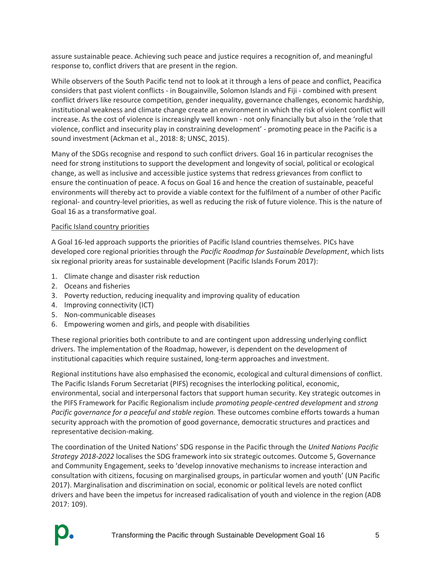assure sustainable peace. Achieving such peace and justice requires a recognition of, and meaningful response to, conflict drivers that are present in the region.

While observers of the South Pacific tend not to look at it through a lens of peace and conflict, Peacifica considers that past violent conflicts - in Bougainville, Solomon Islands and Fiji - combined with present conflict drivers like resource competition, gender inequality, governance challenges, economic hardship, institutional weakness and climate change create an environment in which the risk of violent conflict will increase. As the cost of violence is increasingly well known - not only financially but also in the 'role that violence, conflict and insecurity play in constraining development' - promoting peace in the Pacific is a sound investment (Ackman et al., 2018: 8; UNSC, 2015).

Many of the SDGs recognise and respond to such conflict drivers. Goal 16 in particular recognises the need for strong institutions to support the development and longevity of social, political or ecological change, as well as inclusive and accessible justice systems that redress grievances from conflict to ensure the continuation of peace. A focus on Goal 16 and hence the creation of sustainable, peaceful environments will thereby act to provide a viable context for the fulfilment of a number of other Pacific regional- and country-level priorities, as well as reducing the risk of future violence. This is the nature of Goal 16 as a transformative goal.

#### Pacific Island country priorities

A Goal 16-led approach supports the priorities of Pacific Island countries themselves. PICs have developed core regional priorities through the *Pacific Roadmap for Sustainable Development*, which lists six regional priority areas for sustainable development (Pacific Islands Forum 2017):

- 1. Climate change and disaster risk reduction
- 2. Oceans and fisheries
- 3. Poverty reduction, reducing inequality and improving quality of education
- 4. Improving connectivity (ICT)
- 5. Non-communicable diseases
- 6. Empowering women and girls, and people with disabilities

These regional priorities both contribute to and are contingent upon addressing underlying conflict drivers. The implementation of the Roadmap, however, is dependent on the development of institutional capacities which require sustained, long-term approaches and investment.

Regional institutions have also emphasised the economic, ecological and cultural dimensions of conflict. The Pacific Islands Forum Secretariat (PIFS) recognises the interlocking political, economic, environmental, social and interpersonal factors that support human security. Key strategic outcomes in the PIFS Framework for Pacific Regionalism include *promoting people-centred development* and *strong Pacific governance for a peaceful and stable region.* These outcomes combine efforts towards a human security approach with the promotion of good governance, democratic structures and practices and representative decision-making.

The coordination of the United Nations' SDG response in the Pacific through the *United Nations Pacific Strategy 2018-2022* localises the SDG framework into six strategic outcomes. Outcome 5, Governance and Community Engagement, seeks to 'develop innovative mechanisms to increase interaction and consultation with citizens, focusing on marginalised groups, in particular women and youth' (UN Pacific 2017). Marginalisation and discrimination on social, economic or political levels are noted conflict drivers and have been the impetus for increased radicalisation of youth and violence in the region (ADB 2017: 109).

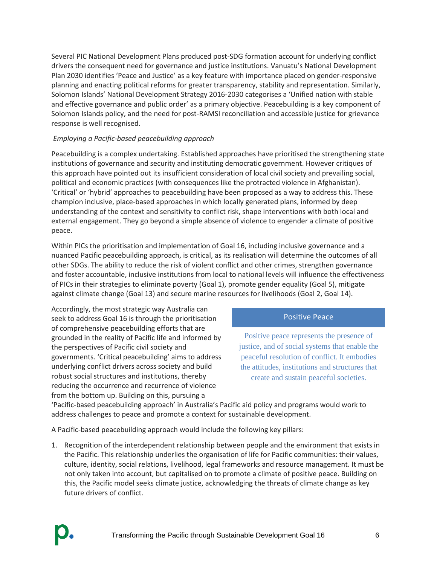Several PIC National Development Plans produced post-SDG formation account for underlying conflict drivers the consequent need for governance and justice institutions. Vanuatu's National Development Plan 2030 identifies 'Peace and Justice' as a key feature with importance placed on gender-responsive planning and enacting political reforms for greater transparency, stability and representation. Similarly, Solomon Islands' National Development Strategy 2016-2030 categorises a 'Unified nation with stable and effective governance and public order' as a primary objective. Peacebuilding is a key component of Solomon Islands policy, and the need for post-RAMSI reconciliation and accessible justice for grievance response is well recognised.

# *Employing a Pacific-based peacebuilding approach*

Peacebuilding is a complex undertaking. Established approaches have prioritised the strengthening state institutions of governance and security and instituting democratic government. However critiques of this approach have pointed out its insufficient consideration of local civil society and prevailing social, political and economic practices (with consequences like the protracted violence in Afghanistan). 'Critical' or 'hybrid' approaches to peacebuilding have been proposed as a way to address this. These champion inclusive, place-based approaches in which locally generated plans, informed by deep understanding of the context and sensitivity to conflict risk, shape interventions with both local and external engagement. They go beyond a simple absence of violence to engender a climate of positive peace.

Within PICs the prioritisation and implementation of Goal 16, including inclusive governance and a nuanced Pacific peacebuilding approach, is critical, as its realisation will determine the outcomes of all other SDGs. The ability to reduce the risk of violent conflict and other crimes, strengthen governance and foster accountable, inclusive institutions from local to national levels will influence the effectiveness of PICs in their strategies to eliminate poverty (Goal 1), promote gender equality (Goal 5), mitigate against climate change (Goal 13) and secure marine resources for livelihoods (Goal 2, Goal 14).

Accordingly, the most strategic way Australia can seek to address Goal 16 is through the prioritisation of comprehensive peacebuilding efforts that are grounded in the reality of Pacific life and informed by the perspectives of Pacific civil society and governments. 'Critical peacebuilding' aims to address underlying conflict drivers across society and build robust social structures and institutions, thereby reducing the occurrence and recurrence of violence from the bottom up. Building on this, pursuing a

# Positive Peace

Positive peace represents the presence of justice, and of social systems that enable the peaceful resolution of conflict. It embodies the attitudes, institutions and structures that create and sustain peaceful societies.

'Pacific-based peacebuilding approach' in Australia's Pacific aid policy and programs would work to address challenges to peace and promote a context for sustainable development.

A Pacific-based peacebuilding approach would include the following key pillars:

1. Recognition of the interdependent relationship between people and the environment that exists in the Pacific. This relationship underlies the organisation of life for Pacific communities: their values, culture, identity, social relations, livelihood, legal frameworks and resource management. It must be not only taken into account, but capitalised on to promote a climate of positive peace. Building on this, the Pacific model seeks climate justice, acknowledging the threats of climate change as key future drivers of conflict.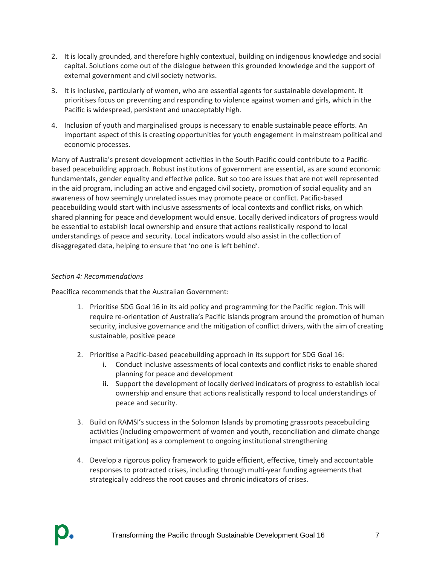- 2. It is locally grounded, and therefore highly contextual, building on indigenous knowledge and social capital. Solutions come out of the dialogue between this grounded knowledge and the support of external government and civil society networks.
- 3. It is inclusive, particularly of women, who are essential agents for sustainable development. It prioritises focus on preventing and responding to violence against women and girls, which in the Pacific is widespread, persistent and unacceptably high.
- 4. Inclusion of youth and marginalised groups is necessary to enable sustainable peace efforts. An important aspect of this is creating opportunities for youth engagement in mainstream political and economic processes.

Many of Australia's present development activities in the South Pacific could contribute to a Pacificbased peacebuilding approach. Robust institutions of government are essential, as are sound economic fundamentals, gender equality and effective police. But so too are issues that are not well represented in the aid program, including an active and engaged civil society, promotion of social equality and an awareness of how seemingly unrelated issues may promote peace or conflict. Pacific-based peacebuilding would start with inclusive assessments of local contexts and conflict risks, on which shared planning for peace and development would ensue. Locally derived indicators of progress would be essential to establish local ownership and ensure that actions realistically respond to local understandings of peace and security. Local indicators would also assist in the collection of disaggregated data, helping to ensure that 'no one is left behind'.

#### *Section 4: Recommendations*

Peacifica recommends that the Australian Government:

- 1. Prioritise SDG Goal 16 in its aid policy and programming for the Pacific region. This will require re-orientation of Australia's Pacific Islands program around the promotion of human security, inclusive governance and the mitigation of conflict drivers, with the aim of creating sustainable, positive peace
- 2. Prioritise a Pacific-based peacebuilding approach in its support for SDG Goal 16:
	- i. Conduct inclusive assessments of local contexts and conflict risks to enable shared planning for peace and development
	- ii. Support the development of locally derived indicators of progress to establish local ownership and ensure that actions realistically respond to local understandings of peace and security.
- 3. Build on RAMSI's success in the Solomon Islands by promoting grassroots peacebuilding activities (including empowerment of women and youth, reconciliation and climate change impact mitigation) as a complement to ongoing institutional strengthening
- 4. Develop a rigorous policy framework to guide efficient, effective, timely and accountable responses to protracted crises, including through multi-year funding agreements that strategically address the root causes and chronic indicators of crises.